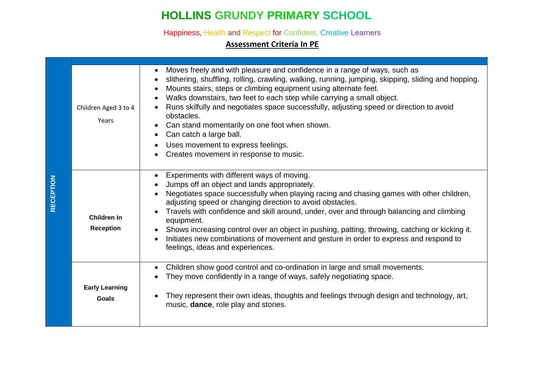# **HOLLINS GRUNDY PRIMARY SCHOOL**

Happiness, Health and Respect for Confident, Creative Learners

#### **Assessment Criteria In PE**

|                  | Children Aged 3 to 4<br>Years          | Moves freely and with pleasure and confidence in a range of ways, such as<br>slithering, shuffling, rolling, crawling, walking, running, jumping, skipping, sliding and hopping.<br>Mounts stairs, steps or climbing equipment using alternate feet.<br>Walks downstairs, two feet to each step while carrying a small object.<br>Runs skilfully and negotiates space successfully, adjusting speed or direction to avoid<br>obstacles.<br>Can stand momentarily on one foot when shown.<br>Can catch a large ball.<br>Uses movement to express feelings.<br>Creates movement in response to music. |
|------------------|----------------------------------------|-----------------------------------------------------------------------------------------------------------------------------------------------------------------------------------------------------------------------------------------------------------------------------------------------------------------------------------------------------------------------------------------------------------------------------------------------------------------------------------------------------------------------------------------------------------------------------------------------------|
| <b>RECEPTION</b> | <b>Children In</b><br><b>Reception</b> | Experiments with different ways of moving.<br>Jumps off an object and lands appropriately.<br>Negotiates space successfully when playing racing and chasing games with other children,<br>adjusting speed or changing direction to avoid obstacles.<br>Travels with confidence and skill around, under, over and through balancing and climbing<br>equipment.<br>Shows increasing control over an object in pushing, patting, throwing, catching or kicking it.<br>Initiates new combinations of movement and gesture in order to express and respond to<br>feelings, ideas and experiences.        |
|                  | <b>Early Learning</b><br><b>Goals</b>  | Children show good control and co-ordination in large and small movements.<br>They move confidently in a range of ways, safely negotiating space.<br>They represent their own ideas, thoughts and feelings through design and technology, art,<br>music, dance, role play and stories.                                                                                                                                                                                                                                                                                                              |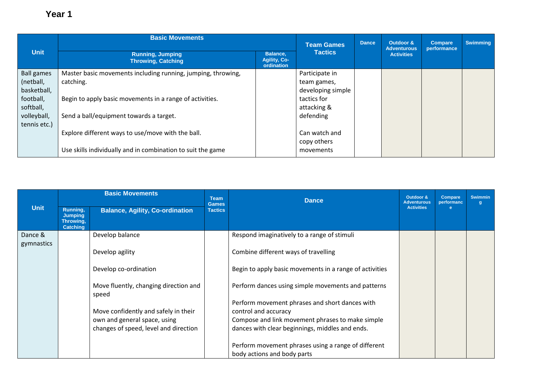|                   | <b>Basic Movements</b>                                       | <b>Team Games</b> | <b>Dance</b>      | Outdoor &<br><b>Adventurous</b> | <b>Compare</b><br>performance | <b>Swimming</b> |  |
|-------------------|--------------------------------------------------------------|-------------------|-------------------|---------------------------------|-------------------------------|-----------------|--|
| <b>Unit</b>       | <b>Running, Jumping</b><br><b>Throwing, Catching</b>         | <b>Tactics</b>    |                   | <b>Activities</b>               |                               |                 |  |
| <b>Ball games</b> | Master basic movements including running, jumping, throwing, |                   | Participate in    |                                 |                               |                 |  |
| (netball,         | catching.                                                    |                   | team games,       |                                 |                               |                 |  |
| basketball,       |                                                              |                   | developing simple |                                 |                               |                 |  |
| football,         | Begin to apply basic movements in a range of activities.     |                   | tactics for       |                                 |                               |                 |  |
| softball,         |                                                              |                   | attacking &       |                                 |                               |                 |  |
| volleyball,       | Send a ball/equipment towards a target.                      |                   | defending         |                                 |                               |                 |  |
| tennis etc.)      |                                                              |                   |                   |                                 |                               |                 |  |
|                   | Explore different ways to use/move with the ball.            |                   | Can watch and     |                                 |                               |                 |  |
|                   |                                                              |                   | copy others       |                                 |                               |                 |  |
|                   | Use skills individually and in combination to suit the game  |                   | movements         |                                 |                               |                 |  |

|                       |                                                            | <b>Basic Movements</b>                                                | <b>Team</b><br><b>Games</b> | <b>Dance</b>                                                                                        | Outdoor &<br><b>Adventurous</b> | <b>Compare</b><br>performanc | <b>Swimmin</b><br>g |
|-----------------------|------------------------------------------------------------|-----------------------------------------------------------------------|-----------------------------|-----------------------------------------------------------------------------------------------------|---------------------------------|------------------------------|---------------------|
| <b>Unit</b>           | Running,<br><b>Jumping</b><br>Throwing,<br><b>Catching</b> | <b>Balance, Agility, Co-ordination</b>                                | <b>Tactics</b>              |                                                                                                     | <b>Activities</b>               | е                            |                     |
| Dance &<br>gymnastics |                                                            | Develop balance                                                       |                             | Respond imaginatively to a range of stimuli                                                         |                                 |                              |                     |
|                       |                                                            | Develop agility                                                       |                             | Combine different ways of travelling                                                                |                                 |                              |                     |
|                       |                                                            | Develop co-ordination                                                 |                             | Begin to apply basic movements in a range of activities                                             |                                 |                              |                     |
|                       |                                                            | Move fluently, changing direction and<br>speed                        |                             | Perform dances using simple movements and patterns                                                  |                                 |                              |                     |
|                       |                                                            |                                                                       |                             | Perform movement phrases and short dances with                                                      |                                 |                              |                     |
|                       |                                                            | Move confidently and safely in their                                  |                             | control and accuracy                                                                                |                                 |                              |                     |
|                       |                                                            | own and general space, using<br>changes of speed, level and direction |                             | Compose and link movement phrases to make simple<br>dances with clear beginnings, middles and ends. |                                 |                              |                     |
|                       |                                                            |                                                                       |                             | Perform movement phrases using a range of different                                                 |                                 |                              |                     |
|                       |                                                            |                                                                       |                             | body actions and body parts                                                                         |                                 |                              |                     |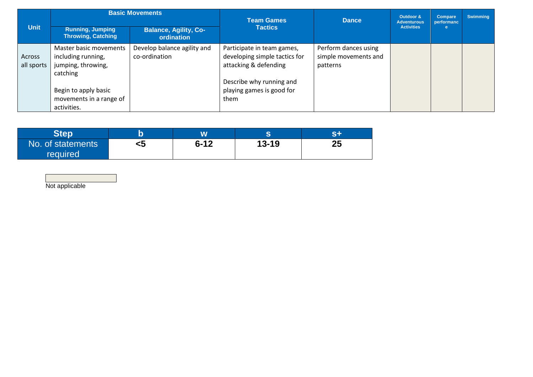|             |                                                      | <b>Basic Movements</b>                     | <b>Team Games</b>             | <b>Dance</b>         | Outdoor &<br><b>Adventurous</b> | <b>Compare</b><br>performanc | <b>Swimming</b> |
|-------------|------------------------------------------------------|--------------------------------------------|-------------------------------|----------------------|---------------------------------|------------------------------|-----------------|
| <b>Unit</b> | <b>Running, Jumping</b><br><b>Throwing, Catching</b> | <b>Balance, Agility, Co-</b><br>ordination | <b>Tactics</b>                |                      | <b>Activities</b>               |                              |                 |
|             | Master basic movements                               | Develop balance agility and                | Participate in team games,    | Perform dances using |                                 |                              |                 |
| Across      | including running,                                   | co-ordination                              | developing simple tactics for | simple movements and |                                 |                              |                 |
| all sports  | jumping, throwing,                                   |                                            | attacking & defending         | patterns             |                                 |                              |                 |
|             | catching                                             |                                            |                               |                      |                                 |                              |                 |
|             |                                                      |                                            | Describe why running and      |                      |                                 |                              |                 |
|             | Begin to apply basic                                 |                                            | playing games is good for     |                      |                                 |                              |                 |
|             | movements in a range of                              |                                            | them                          |                      |                                 |                              |                 |
|             | activities.                                          |                                            |                               |                      |                                 |                              |                 |

| Step                                 |    | W        | ⌒         | SEL |
|--------------------------------------|----|----------|-----------|-----|
| No. of statements<br><b>required</b> | <5 | $6 - 12$ | $13 - 19$ | 25  |

Not applicable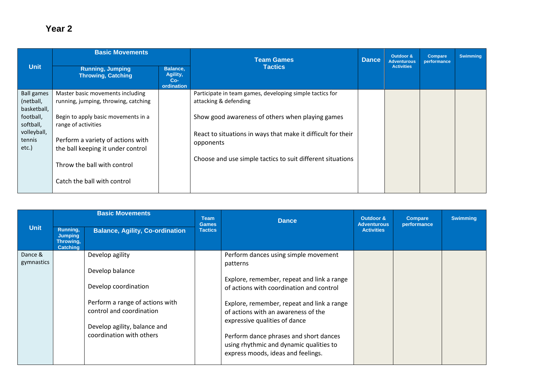|                                               | <b>Basic Movements</b>                                                   |                                             | <b>Team Games</b>                                                                 | <b>Dance</b> | Outdoor &<br><b>Adventurous</b> | Compare<br>performance | <b>Swimming</b> |
|-----------------------------------------------|--------------------------------------------------------------------------|---------------------------------------------|-----------------------------------------------------------------------------------|--------------|---------------------------------|------------------------|-----------------|
| <b>Unit</b>                                   | <b>Running, Jumping</b><br><b>Throwing, Catching</b>                     | Balance,<br>Agility,<br>$Co-$<br>ordination | <b>Tactics</b>                                                                    |              | <b>Activities</b>               |                        |                 |
| <b>Ball games</b><br>(netball,<br>basketball, | Master basic movements including<br>running, jumping, throwing, catching |                                             | Participate in team games, developing simple tactics for<br>attacking & defending |              |                                 |                        |                 |
| football,<br>softball,<br>volleyball,         | Begin to apply basic movements in a<br>range of activities               |                                             | Show good awareness of others when playing games                                  |              |                                 |                        |                 |
| tennis<br>$etc.$ )                            | Perform a variety of actions with<br>the ball keeping it under control   |                                             | React to situations in ways that make it difficult for their<br>opponents         |              |                                 |                        |                 |
|                                               | Throw the ball with control                                              |                                             | Choose and use simple tactics to suit different situations                        |              |                                 |                        |                 |
|                                               | Catch the ball with control                                              |                                             |                                                                                   |              |                                 |                        |                 |

| <b>Dance</b><br><b>Games</b><br><b>Adventurous</b><br>performance                                                                                                                                                                                                                                                                                                                                                                                                                                                                                                                                             |  |
|---------------------------------------------------------------------------------------------------------------------------------------------------------------------------------------------------------------------------------------------------------------------------------------------------------------------------------------------------------------------------------------------------------------------------------------------------------------------------------------------------------------------------------------------------------------------------------------------------------------|--|
| <b>Unit</b><br>Running,<br><b>Balance, Agility, Co-ordination</b><br><b>Tactics</b><br><b>Activities</b><br><b>Jumping</b><br>Throwing,<br><b>Catching</b>                                                                                                                                                                                                                                                                                                                                                                                                                                                    |  |
| Dance &<br>Develop agility<br>Perform dances using simple movement<br>gymnastics<br>patterns<br>Develop balance<br>Explore, remember, repeat and link a range<br>Develop coordination<br>of actions with coordination and control<br>Perform a range of actions with<br>Explore, remember, repeat and link a range<br>control and coordination<br>of actions with an awareness of the<br>expressive qualities of dance<br>Develop agility, balance and<br>coordination with others<br>Perform dance phrases and short dances<br>using rhythmic and dynamic qualities to<br>express moods, ideas and feelings. |  |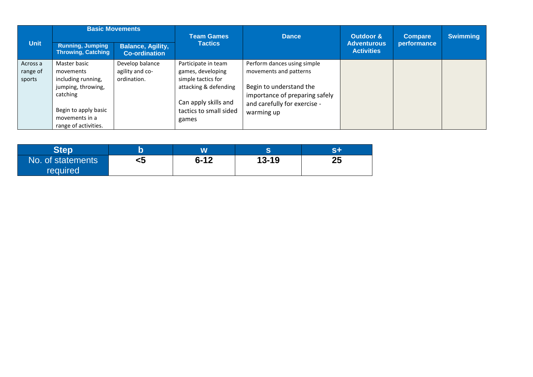|             | <b>Basic Movements</b>                               |                                                  | <b>Team Games</b>      | <b>Dance</b>                   | Outdoor &                               | <b>Compare</b> | <b>Swimming</b> |
|-------------|------------------------------------------------------|--------------------------------------------------|------------------------|--------------------------------|-----------------------------------------|----------------|-----------------|
| <b>Unit</b> | <b>Running, Jumping</b><br><b>Throwing, Catching</b> | <b>Balance, Agility,</b><br><b>Co-ordination</b> | <b>Tactics</b>         |                                | <b>Adventurous</b><br><b>Activities</b> | performance    |                 |
| Across a    | Master basic                                         | Develop balance                                  | Participate in team    | Perform dances using simple    |                                         |                |                 |
| range of    | movements                                            | agility and co-                                  | games, developing      | movements and patterns         |                                         |                |                 |
| sports      | including running,                                   | ordination.                                      | simple tactics for     |                                |                                         |                |                 |
|             | jumping, throwing,                                   |                                                  | attacking & defending  | Begin to understand the        |                                         |                |                 |
|             | catching                                             |                                                  |                        | importance of preparing safely |                                         |                |                 |
|             |                                                      |                                                  | Can apply skills and   | and carefully for exercise -   |                                         |                |                 |
|             | Begin to apply basic                                 |                                                  | tactics to small sided | warming up                     |                                         |                |                 |
|             | movements in a                                       |                                                  | games                  |                                |                                         |                |                 |
|             | range of activities.                                 |                                                  |                        |                                |                                         |                |                 |

| Step                                 |    |          |           | $\sim$ $\blacksquare$ |
|--------------------------------------|----|----------|-----------|-----------------------|
| No. of statements<br><b>required</b> | <ວ | $6 - 12$ | $13 - 19$ | ク斥<br>Lν              |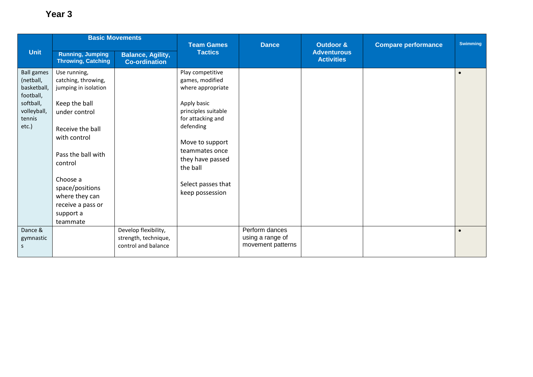|                                                            | <b>Basic Movements</b>                                      |                                                                     | <b>Team Games</b>                                        | <b>Dance</b>                                            | <b>Outdoor &amp;</b>                    | <b>Compare performance</b> | <b>Swimming</b> |
|------------------------------------------------------------|-------------------------------------------------------------|---------------------------------------------------------------------|----------------------------------------------------------|---------------------------------------------------------|-----------------------------------------|----------------------------|-----------------|
| <b>Unit</b>                                                | <b>Running, Jumping</b><br><b>Throwing, Catching</b>        | <b>Balance, Agility,</b><br><b>Co-ordination</b>                    | <b>Tactics</b>                                           |                                                         | <b>Adventurous</b><br><b>Activities</b> |                            |                 |
| <b>Ball games</b><br>(netball,<br>basketball,<br>football, | Use running,<br>catching, throwing,<br>jumping in isolation |                                                                     | Play competitive<br>games, modified<br>where appropriate |                                                         |                                         |                            | $\bullet$       |
| softball,<br>volleyball,<br>tennis                         | Keep the ball<br>under control                              |                                                                     | Apply basic<br>principles suitable<br>for attacking and  |                                                         |                                         |                            |                 |
| etc.)                                                      | Receive the ball<br>with control                            |                                                                     | defending<br>Move to support                             |                                                         |                                         |                            |                 |
|                                                            | Pass the ball with<br>control                               |                                                                     | teammates once<br>they have passed<br>the ball           |                                                         |                                         |                            |                 |
|                                                            | Choose a<br>space/positions<br>where they can               |                                                                     | Select passes that<br>keep possession                    |                                                         |                                         |                            |                 |
|                                                            | receive a pass or<br>support a<br>teammate                  |                                                                     |                                                          |                                                         |                                         |                            |                 |
| Dance &<br>gymnastic<br>S                                  |                                                             | Develop flexibility,<br>strength, technique,<br>control and balance |                                                          | Perform dances<br>using a range of<br>movement patterns |                                         |                            | $\bullet$       |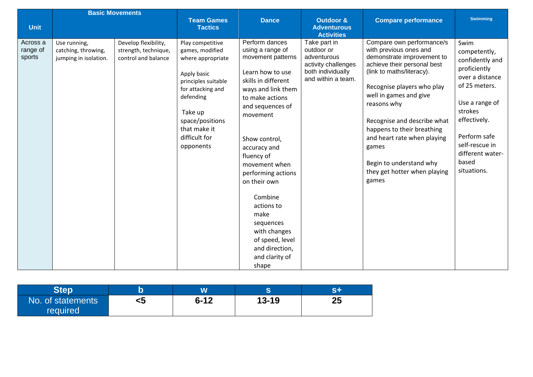|                                |                                                              | <b>Basic Movements</b>                                              |                                                                                                                                                                                                              |                                                                                                                                                                                                                                                                                                                                                                                                                 |                                                                                                             |                                                                                                                                                                                                                                                                                                                                                                                               |                                                                                                                                                                                                                        |
|--------------------------------|--------------------------------------------------------------|---------------------------------------------------------------------|--------------------------------------------------------------------------------------------------------------------------------------------------------------------------------------------------------------|-----------------------------------------------------------------------------------------------------------------------------------------------------------------------------------------------------------------------------------------------------------------------------------------------------------------------------------------------------------------------------------------------------------------|-------------------------------------------------------------------------------------------------------------|-----------------------------------------------------------------------------------------------------------------------------------------------------------------------------------------------------------------------------------------------------------------------------------------------------------------------------------------------------------------------------------------------|------------------------------------------------------------------------------------------------------------------------------------------------------------------------------------------------------------------------|
| <b>Unit</b>                    |                                                              |                                                                     | <b>Team Games</b><br><b>Tactics</b>                                                                                                                                                                          | <b>Dance</b>                                                                                                                                                                                                                                                                                                                                                                                                    | <b>Outdoor &amp;</b><br><b>Adventurous</b>                                                                  | <b>Compare performance</b>                                                                                                                                                                                                                                                                                                                                                                    | <b>Swimming</b>                                                                                                                                                                                                        |
|                                |                                                              |                                                                     |                                                                                                                                                                                                              |                                                                                                                                                                                                                                                                                                                                                                                                                 | <b>Activities</b>                                                                                           |                                                                                                                                                                                                                                                                                                                                                                                               |                                                                                                                                                                                                                        |
| Across a<br>range of<br>sports | Use running,<br>catching, throwing,<br>jumping in isolation. | Develop flexibility,<br>strength, technique,<br>control and balance | Play competitive<br>games, modified<br>where appropriate<br>Apply basic<br>principles suitable<br>for attacking and<br>defending<br>Take up<br>space/positions<br>that make it<br>difficult for<br>opponents | Perform dances<br>using a range of<br>movement patterns<br>Learn how to use<br>skills in different<br>ways and link them<br>to make actions<br>and sequences of<br>movement<br>Show control,<br>accuracy and<br>fluency of<br>movement when<br>performing actions<br>on their own<br>Combine<br>actions to<br>make<br>sequences<br>with changes<br>of speed, level<br>and direction,<br>and clarity of<br>shape | Take part in<br>outdoor or<br>adventurous<br>activity challenges<br>both individually<br>and within a team. | Compare own performance/s<br>with previous ones and<br>demonstrate improvement to<br>achieve their personal best<br>(link to maths/literacy).<br>Recognise players who play<br>well in games and give<br>reasons why<br>Recognise and describe what<br>happens to their breathing<br>and heart rate when playing<br>games<br>Begin to understand why<br>they get hotter when playing<br>games | Swim<br>competently,<br>confidently and<br>proficiently<br>over a distance<br>of 25 meters.<br>Use a range of<br>strokes<br>effectively.<br>Perform safe<br>self-rescue in<br>different water-<br>based<br>situations. |

| <b>Step</b>                   |    | W        |           | ел |
|-------------------------------|----|----------|-----------|----|
| No. of statements<br>required | <5 | $6 - 12$ | $13 - 19$ | 25 |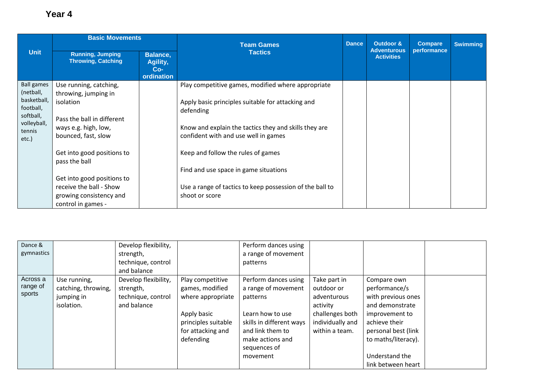|                                                | <b>Basic Movements</b>                                                    |                                                    | <b>Team Games</b>                                                                             |  | Outdoor &                               | <b>Compare</b> | <b>Swimming</b> |
|------------------------------------------------|---------------------------------------------------------------------------|----------------------------------------------------|-----------------------------------------------------------------------------------------------|--|-----------------------------------------|----------------|-----------------|
| <b>Unit</b>                                    | <b>Running, Jumping</b><br><b>Throwing, Catching</b>                      | <b>Balance,</b><br>Agility,<br>$Co-$<br>ordination | <b>Tactics</b>                                                                                |  | <b>Adventurous</b><br><b>Activities</b> | performance    |                 |
| <b>Ball games</b><br>(netball,                 | Use running, catching,<br>throwing, jumping in                            |                                                    | Play competitive games, modified where appropriate                                            |  |                                         |                |                 |
| basketball,<br>football,                       | isolation                                                                 |                                                    | Apply basic principles suitable for attacking and<br>defending                                |  |                                         |                |                 |
| softball,<br>volleyball,<br>tennis<br>$etc.$ ) | Pass the ball in different<br>ways e.g. high, low,<br>bounced, fast, slow |                                                    | Know and explain the tactics they and skills they are<br>confident with and use well in games |  |                                         |                |                 |
|                                                | Get into good positions to<br>pass the ball                               |                                                    | Keep and follow the rules of games                                                            |  |                                         |                |                 |
|                                                |                                                                           |                                                    | Find and use space in game situations                                                         |  |                                         |                |                 |
|                                                | Get into good positions to                                                |                                                    |                                                                                               |  |                                         |                |                 |
|                                                | receive the ball - Show                                                   |                                                    | Use a range of tactics to keep possession of the ball to                                      |  |                                         |                |                 |
|                                                | growing consistency and                                                   |                                                    | shoot or score                                                                                |  |                                         |                |                 |
|                                                | control in games -                                                        |                                                    |                                                                                               |  |                                         |                |                 |

| Dance &    |                     | Develop flexibility, |                     | Perform dances using     |                  |                     |  |
|------------|---------------------|----------------------|---------------------|--------------------------|------------------|---------------------|--|
| gymnastics |                     | strength,            |                     | a range of movement      |                  |                     |  |
|            |                     | technique, control   |                     | patterns                 |                  |                     |  |
|            |                     | and balance          |                     |                          |                  |                     |  |
| Across a   | Use running,        | Develop flexibility, | Play competitive    | Perform dances using     | Take part in     | Compare own         |  |
| range of   | catching, throwing, | strength,            | games, modified     | a range of movement      | outdoor or       | performance/s       |  |
| sports     | jumping in          | technique, control   | where appropriate   | patterns                 | adventurous      | with previous ones  |  |
|            | isolation.          | and balance          |                     |                          | activity         | and demonstrate     |  |
|            |                     |                      | Apply basic         | Learn how to use         | challenges both  | improvement to      |  |
|            |                     |                      | principles suitable | skills in different ways | individually and | achieve their       |  |
|            |                     |                      | for attacking and   | and link them to         | within a team.   | personal best (link |  |
|            |                     |                      | defending           | make actions and         |                  | to maths/literacy). |  |
|            |                     |                      |                     | sequences of             |                  |                     |  |
|            |                     |                      |                     | movement                 |                  | Understand the      |  |
|            |                     |                      |                     |                          |                  | link between heart  |  |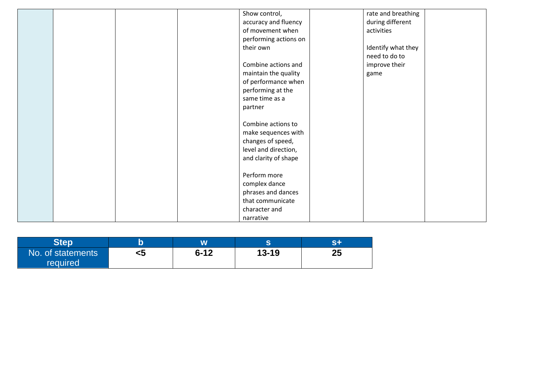|  |  | Show control,         | rate and breathing |  |
|--|--|-----------------------|--------------------|--|
|  |  | accuracy and fluency  | during different   |  |
|  |  | of movement when      | activities         |  |
|  |  | performing actions on |                    |  |
|  |  | their own             | Identify what they |  |
|  |  |                       | need to do to      |  |
|  |  | Combine actions and   | improve their      |  |
|  |  | maintain the quality  | game               |  |
|  |  | of performance when   |                    |  |
|  |  | performing at the     |                    |  |
|  |  | same time as a        |                    |  |
|  |  | partner               |                    |  |
|  |  |                       |                    |  |
|  |  | Combine actions to    |                    |  |
|  |  | make sequences with   |                    |  |
|  |  | changes of speed,     |                    |  |
|  |  | level and direction,  |                    |  |
|  |  | and clarity of shape  |                    |  |
|  |  |                       |                    |  |
|  |  | Perform more          |                    |  |
|  |  | complex dance         |                    |  |
|  |  | phrases and dances    |                    |  |
|  |  | that communicate      |                    |  |
|  |  | character and         |                    |  |
|  |  | narrative             |                    |  |

| <b>RIAN</b>       |    |          |           | e n |
|-------------------|----|----------|-----------|-----|
| No. of statements | ເບ | $6 - 12$ | $13 - 19$ | 25  |
| required          |    |          |           |     |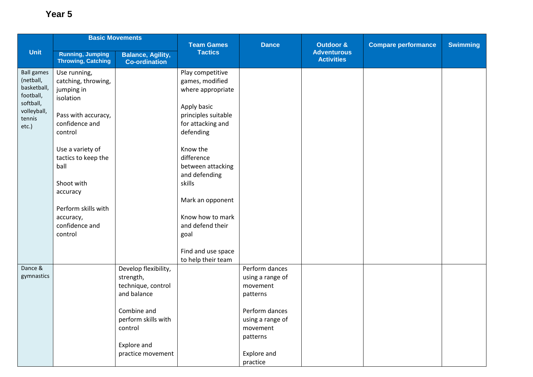|                          |                                                      | <b>Basic Movements</b>                           |                                     |                  |                                            |                            |                 |
|--------------------------|------------------------------------------------------|--------------------------------------------------|-------------------------------------|------------------|--------------------------------------------|----------------------------|-----------------|
| Unit                     |                                                      |                                                  | <b>Team Games</b><br><b>Tactics</b> | <b>Dance</b>     | <b>Outdoor &amp;</b><br><b>Adventurous</b> | <b>Compare performance</b> | <b>Swimming</b> |
|                          | <b>Running, Jumping</b><br><b>Throwing, Catching</b> | <b>Balance, Agility,</b><br><b>Co-ordination</b> |                                     |                  | <b>Activities</b>                          |                            |                 |
| <b>Ball games</b>        | Use running,                                         |                                                  | Play competitive                    |                  |                                            |                            |                 |
| (netball,                | catching, throwing,                                  |                                                  | games, modified                     |                  |                                            |                            |                 |
| basketball,<br>football, | jumping in                                           |                                                  | where appropriate                   |                  |                                            |                            |                 |
| softball,                | isolation                                            |                                                  |                                     |                  |                                            |                            |                 |
| volleyball,              |                                                      |                                                  | Apply basic                         |                  |                                            |                            |                 |
| tennis                   | Pass with accuracy,                                  |                                                  | principles suitable                 |                  |                                            |                            |                 |
| etc.)                    | confidence and<br>control                            |                                                  | for attacking and<br>defending      |                  |                                            |                            |                 |
|                          |                                                      |                                                  |                                     |                  |                                            |                            |                 |
|                          | Use a variety of                                     |                                                  | Know the                            |                  |                                            |                            |                 |
|                          | tactics to keep the                                  |                                                  | difference                          |                  |                                            |                            |                 |
|                          | ball                                                 |                                                  | between attacking                   |                  |                                            |                            |                 |
|                          |                                                      |                                                  | and defending                       |                  |                                            |                            |                 |
|                          | Shoot with                                           |                                                  | skills                              |                  |                                            |                            |                 |
|                          | accuracy                                             |                                                  |                                     |                  |                                            |                            |                 |
|                          | Perform skills with                                  |                                                  | Mark an opponent                    |                  |                                            |                            |                 |
|                          | accuracy,                                            |                                                  | Know how to mark                    |                  |                                            |                            |                 |
|                          | confidence and                                       |                                                  | and defend their                    |                  |                                            |                            |                 |
|                          | control                                              |                                                  | goal                                |                  |                                            |                            |                 |
|                          |                                                      |                                                  |                                     |                  |                                            |                            |                 |
|                          |                                                      |                                                  | Find and use space                  |                  |                                            |                            |                 |
|                          |                                                      |                                                  | to help their team                  |                  |                                            |                            |                 |
| Dance &                  |                                                      | Develop flexibility,                             |                                     | Perform dances   |                                            |                            |                 |
| gymnastics               |                                                      | strength,                                        |                                     | using a range of |                                            |                            |                 |
|                          |                                                      | technique, control<br>and balance                |                                     | movement         |                                            |                            |                 |
|                          |                                                      |                                                  |                                     | patterns         |                                            |                            |                 |
|                          |                                                      | Combine and                                      |                                     | Perform dances   |                                            |                            |                 |
|                          |                                                      | perform skills with                              |                                     | using a range of |                                            |                            |                 |
|                          |                                                      | control                                          |                                     | movement         |                                            |                            |                 |
|                          |                                                      |                                                  |                                     | patterns         |                                            |                            |                 |
|                          |                                                      | Explore and                                      |                                     |                  |                                            |                            |                 |
|                          |                                                      | practice movement                                |                                     | Explore and      |                                            |                            |                 |
|                          |                                                      |                                                  |                                     | practice         |                                            |                            |                 |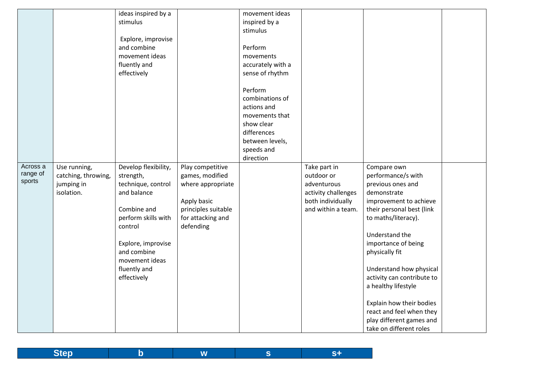|                                |                                                                 | ideas inspired by a<br>stimulus<br>Explore, improvise<br>and combine<br>movement ideas<br>fluently and<br>effectively                                                                                         |                                                                                                                                  | movement ideas<br>inspired by a<br>stimulus<br>Perform<br>movements<br>accurately with a<br>sense of rhythm<br>Perform<br>combinations of<br>actions and<br>movements that<br>show clear<br>differences<br>between levels,<br>speeds and<br>direction |                                                                                                             |                                                                                                                                                                                                                                                                                                                                                                                                               |  |
|--------------------------------|-----------------------------------------------------------------|---------------------------------------------------------------------------------------------------------------------------------------------------------------------------------------------------------------|----------------------------------------------------------------------------------------------------------------------------------|-------------------------------------------------------------------------------------------------------------------------------------------------------------------------------------------------------------------------------------------------------|-------------------------------------------------------------------------------------------------------------|---------------------------------------------------------------------------------------------------------------------------------------------------------------------------------------------------------------------------------------------------------------------------------------------------------------------------------------------------------------------------------------------------------------|--|
| Across a<br>range of<br>sports | Use running,<br>catching, throwing,<br>jumping in<br>isolation. | Develop flexibility,<br>strength,<br>technique, control<br>and balance<br>Combine and<br>perform skills with<br>control<br>Explore, improvise<br>and combine<br>movement ideas<br>fluently and<br>effectively | Play competitive<br>games, modified<br>where appropriate<br>Apply basic<br>principles suitable<br>for attacking and<br>defending |                                                                                                                                                                                                                                                       | Take part in<br>outdoor or<br>adventurous<br>activity challenges<br>both individually<br>and within a team. | Compare own<br>performance/s with<br>previous ones and<br>demonstrate<br>improvement to achieve<br>their personal best (link<br>to maths/literacy).<br>Understand the<br>importance of being<br>physically fit<br>Understand how physical<br>activity can contribute to<br>a healthy lifestyle<br>Explain how their bodies<br>react and feel when they<br>play different games and<br>take on different roles |  |

| <b>Step</b><br>. |  |
|------------------|--|
|------------------|--|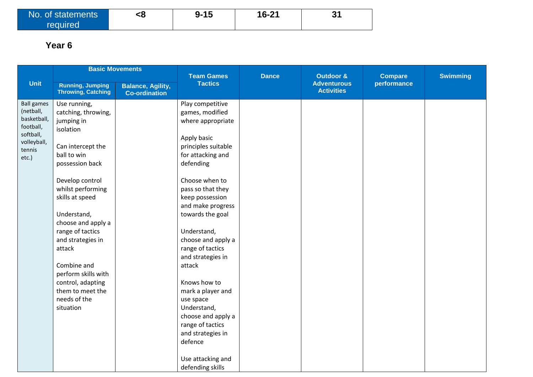| No. of statements | <8 | -15<br>a_ | 16-21 | 24<br>P |
|-------------------|----|-----------|-------|---------|
| required          |    |           |       |         |

|                          |                                                      | <b>Basic Movements</b>                           | <b>Team Games</b>                      | <b>Dance</b> | <b>Outdoor &amp;</b>                    | <b>Compare</b> | <b>Swimming</b> |
|--------------------------|------------------------------------------------------|--------------------------------------------------|----------------------------------------|--------------|-----------------------------------------|----------------|-----------------|
| <b>Unit</b>              | <b>Running, Jumping</b><br><b>Throwing, Catching</b> | <b>Balance, Agility,</b><br><b>Co-ordination</b> | <b>Tactics</b>                         |              | <b>Adventurous</b><br><b>Activities</b> | performance    |                 |
| <b>Ball games</b>        | Use running,                                         |                                                  | Play competitive                       |              |                                         |                |                 |
| (netball,                | catching, throwing,                                  |                                                  | games, modified                        |              |                                         |                |                 |
| basketball,<br>football, | jumping in<br>isolation                              |                                                  | where appropriate                      |              |                                         |                |                 |
| softball,                |                                                      |                                                  | Apply basic                            |              |                                         |                |                 |
| volleyball,<br>tennis    | Can intercept the                                    |                                                  | principles suitable                    |              |                                         |                |                 |
| etc.)                    | ball to win                                          |                                                  | for attacking and                      |              |                                         |                |                 |
|                          | possession back                                      |                                                  | defending                              |              |                                         |                |                 |
|                          | Develop control                                      |                                                  | Choose when to                         |              |                                         |                |                 |
|                          | whilst performing                                    |                                                  | pass so that they                      |              |                                         |                |                 |
|                          | skills at speed                                      |                                                  | keep possession                        |              |                                         |                |                 |
|                          |                                                      |                                                  | and make progress                      |              |                                         |                |                 |
|                          | Understand,                                          |                                                  | towards the goal                       |              |                                         |                |                 |
|                          | choose and apply a                                   |                                                  |                                        |              |                                         |                |                 |
|                          | range of tactics                                     |                                                  | Understand,                            |              |                                         |                |                 |
|                          | and strategies in<br>attack                          |                                                  | choose and apply a<br>range of tactics |              |                                         |                |                 |
|                          |                                                      |                                                  | and strategies in                      |              |                                         |                |                 |
|                          | Combine and                                          |                                                  | attack                                 |              |                                         |                |                 |
|                          | perform skills with                                  |                                                  |                                        |              |                                         |                |                 |
|                          | control, adapting                                    |                                                  | Knows how to                           |              |                                         |                |                 |
|                          | them to meet the                                     |                                                  | mark a player and                      |              |                                         |                |                 |
|                          | needs of the                                         |                                                  | use space                              |              |                                         |                |                 |
|                          | situation                                            |                                                  | Understand,                            |              |                                         |                |                 |
|                          |                                                      |                                                  | choose and apply a                     |              |                                         |                |                 |
|                          |                                                      |                                                  | range of tactics                       |              |                                         |                |                 |
|                          |                                                      |                                                  | and strategies in                      |              |                                         |                |                 |
|                          |                                                      |                                                  | defence                                |              |                                         |                |                 |
|                          |                                                      |                                                  | Use attacking and                      |              |                                         |                |                 |
|                          |                                                      |                                                  | defending skills                       |              |                                         |                |                 |